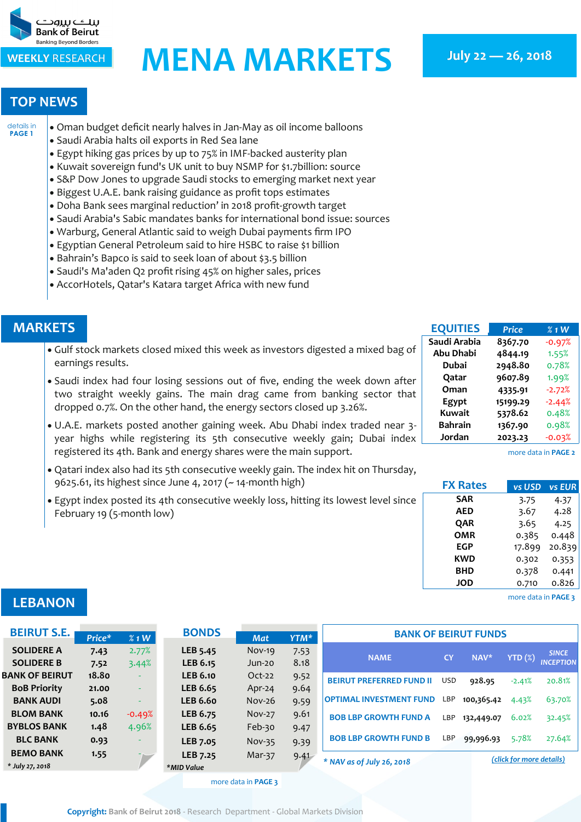<span id="page-0-0"></span>

# **WEEKLY RESEARCH MENA MARKETS** July 22 - 26, 2018

#### **TOP NEWS**

 Oman budget deficit nearly halves in Jan-May as oil income balloons [details in](#page-1-0)  **[PAGE 1](#page-1-0)**

- Saudi Arabia halts oil exports in Red Sea lane
- Egypt hiking gas prices by up to 75% in IMF-backed austerity plan
- Kuwait sovereign fund's UK unit to buy NSMP for \$1.7billion: source
- S&P Dow Jones to upgrade Saudi stocks to emerging market next year
- Biggest U.A.E. bank raising guidance as profit tops estimates
- Doha Bank sees marginal reduction' in 2018 profit-growth target
- Saudi Arabia's Sabic mandates banks for international bond issue: sources
- Warburg, General Atlantic said to weigh Dubai payments firm IPO
- Egyptian General Petroleum said to hire HSBC to raise \$1 billion
- Bahrain's Bapco is said to seek loan of about \$3.5 billion
- Saudi's Ma'aden Q2 profit rising 45% on higher sales, prices
- AccorHotels, Qatar's Katara target Africa with new fund

#### **MARKETS**

- Gulf stock markets closed mixed this week as investors digested a mixed bag of earnings results.
- Saudi index had four losing sessions out of five, ending the week down after two straight weekly gains. The main drag came from banking sector that dropped 0.7%. On the other hand, the energy sectors closed up 3.26%.
- U.A.E. markets posted another gaining week. Abu Dhabi index traded near 3 year highs while registering its 5th consecutive weekly gain; Dubai index registered its 4th. Bank and energy shares were the main support.
- Qatari index also had its 5th consecutive weekly gain. The index hit on Thursday, 9625.61, its highest since June 4, 2017 (~ 14-month high)
- Egypt index posted its 4th consecutive weekly loss, hitting its lowest level since February 19 (5-month low)

| <b>EQUITIES</b> | <b>Price</b> | $%1$ W   |
|-----------------|--------------|----------|
| Saudi Arabia    | 8367.70      | $-0.97%$ |
| Abu Dhabi       | 4844.19      | 1.55%    |
| <b>Dubai</b>    | 2948.80      | 0.78%    |
| Qatar           | 9607.89      | 1.99%    |
| Oman            | 4335.91      | $-2.72%$ |
| Egypt           | 15199.29     | $-2.44%$ |
| Kuwait          | 5378.62      | 0.48%    |
| <b>Bahrain</b>  | 1367.90      | 0.98%    |
| Jordan          | 2023.23      | $-0.03%$ |

[more data in](#page-2-0) **PAGE 2**

| <b>FX Rates</b> | vs USD | vs EUR |
|-----------------|--------|--------|
| <b>SAR</b>      | 3.75   | 4.37   |
| AED             | 3.67   | 4.28   |
| QAR             | 3.65   | 4.25   |
| <b>OMR</b>      | 0.385  | 0.448  |
| <b>EGP</b>      | 17.899 | 20.839 |
| <b>KWD</b>      | 0.302  | 0.353  |
| <b>BHD</b>      | 0.378  | 0.441  |
| <b>JOD</b>      | 0.710  | 0.826  |

[more data in](#page-3-0) **PAGE 3**

#### **LEBANON**

| <b>BEIRUT S.E.</b>    | Price* | %1W      | <b>BONDS</b>    | <b>Mat</b> | YTM* | <b>BANK OF BEIRUT FUNDS</b>     |            |                          |           |                  |  |
|-----------------------|--------|----------|-----------------|------------|------|---------------------------------|------------|--------------------------|-----------|------------------|--|
| <b>SOLIDERE A</b>     | 7.43   | 2.77%    | LEB 5.45        | $Nov-19$   | 7.53 |                                 | <b>CY</b>  |                          |           | <b>SINCE</b>     |  |
| <b>SOLIDERE B</b>     | 7.52   | 3.44%    | <b>LEB 6.15</b> | Jun-20     | 8.18 | <b>NAME</b>                     |            | NAV*                     | $YTD(\%)$ | <b>INCEPTION</b> |  |
| <b>BANK OF BEIRUT</b> | 18.80  |          | <b>LEB 6.10</b> | $Oct-22$   | 9.52 | <b>BEIRUT PREFERRED FUND II</b> | <b>USD</b> | 928.95                   | $-2.41%$  | 20.81%           |  |
| <b>BoB Priority</b>   | 21.00  |          | LEB 6.65        | $Apr-24$   | 9.64 |                                 |            |                          |           |                  |  |
| <b>BANK AUDI</b>      | 5.08   |          | <b>LEB 6.60</b> | $Nov-26$   | 9.59 | <b>OPTIMAL INVESTMENT FUND</b>  | LBP        | 100,365.42               | 4.43%     | 63.70%           |  |
| <b>BLOM BANK</b>      | 10.16  | $-0.49%$ | LEB 6.75        | $Nov-27$   | 9.61 | <b>BOB LBP GROWTH FUND A</b>    | LBP        | 132,449.07               | 6.02%     | 32.45%           |  |
| <b>BYBLOS BANK</b>    | 1.48   | 4.96%    | LEB 6.65        | Feb-30     | 9.47 |                                 |            |                          |           |                  |  |
| <b>BLC BANK</b>       | 0.93   |          | LEB 7.05        | Nov-35     | 9.39 | <b>BOB LBP GROWTH FUND B</b>    | LBP        | 99,996.93                | 5.78%     | 27.64%           |  |
| <b>BEMO BANK</b>      | 1.55   |          | LEB 7.25        | Mar-37     | 9.41 | $*$ NAV as of July 26, 2018     |            |                          |           |                  |  |
| * July 27, 2018       |        |          | *MID Value      |            |      |                                 |            | (click for more details) |           |                  |  |

[more data in](#page-3-0) **PAGE 3**

**Copyright: Bank of Beirut 2018** - Research Department - Global Markets Division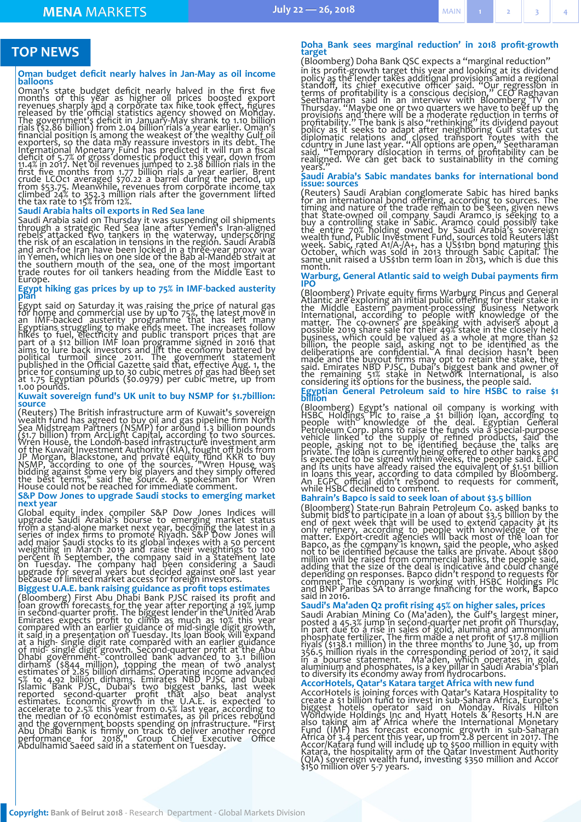#### <span id="page-1-0"></span>**TOP NEWS**

#### **Oman budget deficit nearly halves in Jan-May as oil income balloons**

Oman's state budget deficit nearly halved in the first five<br>months of this year as higher oil prices boosted export<br>revenues sharply and a corporate tax hike took effect, figures<br>released by the official statistics agency

#### **Saudi Arabia halts oil exports in Red Sea lane**

Saudi Arabia said on Thursday it was suspending oil shipments<br>through a strategic Red Sea lane after Yemen's Iran-aligned<br>rebels attacked two tankers in the waterway, underscoring<br>the risk of an escalation in tensions in t Europe.

## **Egypt hiking gas prices by up to 75% in IMF-backed austerity plan**

Egypt said on Saturday it was raising the price of natural gas<br>for home and commercial use by up to 75%, the latest move in<br>an IMF-backed austerity programme that has left many<br>Egyptians struggling to make ends meet. The i

#### **Kuwait sovereign fund's UK unit to buy NSMP for \$1.7billion: source**

(Reuters) The British infrastructure arm of Kuwait's sovereign<br>wealth fund has agreed to buy oil and gas pipeline firm North<br>Sea Midstream Partners (NSMP) for around 1.3 billion pounds<br>(\$1.7 billion) from ArcLight Capital,

#### **S&P Dow Jones to upgrade Saudi stocks to emerging market next year**

Global equity index compiler S&P Dow Jones Indices will<br>upgrade Saudi Arabia's bourse to emerging market status<br>from a stand-alone market next year, becoming the latest in a<br>series of index firms to promote Riyadh. S&P Dow

#### **Biggest U.A.E. bank raising guidance as profit tops estimates**

(Bloomberg) First Abu Dhabi Bank PJSC raised its profit and<br>loan growth forecasts for the year after reporting a 19% jump<br>in second-quarter profit. The biggest lender in the United Arab<br>Emirates expects profit to climb as

#### **Doha Bank sees marginal reduction' in 2018 profit-growth target**<br>(Bloomberg) Doha Bank QSC expects a "marginal reduction"

(Bloomberg) Doha Bank QSC expects a "marginal reduction" in its profit-growth target this year and looking at its dividend<br>policy as the lender takes additional provisions amid a regional<br>standoff, its chief executive officer said. "Our regression in<br>terms of profitability is a

#### **Saudi Arabia's Sabic mandates banks for international bond issue: sources**

(Reuters) Saudi Arabian conglomerate Sabic has hired banks<br>for an international bond offering, according to sources. The<br>timing and nature of the trade remain to be seen, given news<br>that state-owned oil company Saudi Aramc

#### **Warburg, General Atlantic said to weigh Dubai payments firm IPO**

(Bloomberg) Private equity firms Warburg Pincus and General<br>Atlantic are exploring an initial public offering for their stake in<br>the Middle Eastern payment-processing business Network<br>International, according to people wit

#### **Egyptian General Petroleum said to hire HSBC to raise \$1 billion**

(Bloomberg) Egypt's national oil company is working with<br>HSBC Holdings PIc to raise a \$1 billion loan, according to<br>Beople with knowledge of the deal. Egyptian General<br>Petroleum Corp. plans to raise the funds via a special

#### **Bahrain's Bapco is said to seek loan of about \$3.5 billion**

(Bloomberg) State-run Bahrain Petroleum Co. asked banks to submit bids to participate in a loan of about \$3.5 billion by the end of next week that will be used to extend capacity at its only refinery, according to people w

#### **Saudi's Ma'aden Q2 profit rising 45% on higher sales, prices**

Saudi Arabian Mining Co (Ma'aden), the Gulf's largest miner, posted a 45.3% jump in second-quarter net profit on Thursday, in part due to a rise in sales of gold, alumina and ammonium phosphate fertilizer. The firm made a

#### **AccorHotels, Qatar's Katara target Africa with new fund**

AccorHotels is joining forces with Qatar's Katara Hospitality to create a \$1 billion fund to invest in sub-Sahara Africa, Europe's biggest hotels operator said on Monday. Rivals Hilton Worldwide Holdings Inc and Hyatt Hote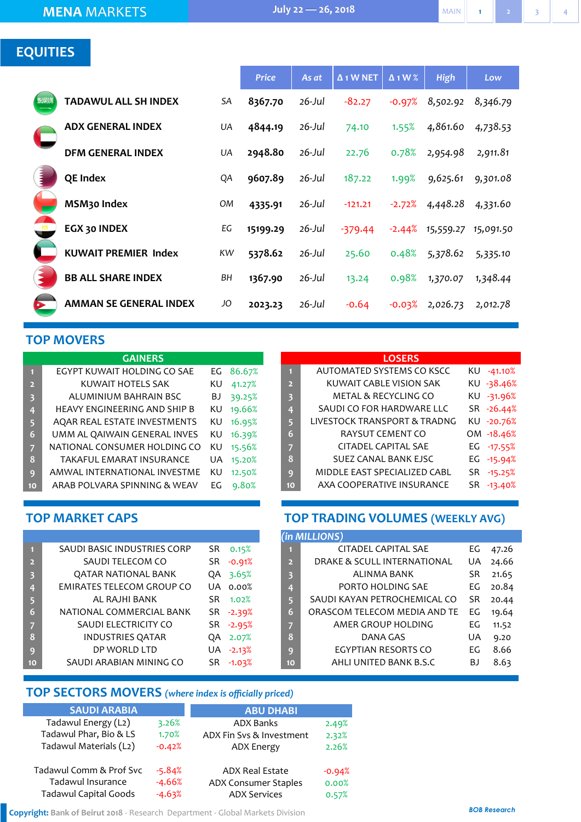### <span id="page-2-0"></span>**EQUITIES**

|      |                               |     | <b>Price</b> | As at     | $\Delta$ 1 W NET | $\Delta$ 1 W % | <b>High</b> | Low       |
|------|-------------------------------|-----|--------------|-----------|------------------|----------------|-------------|-----------|
| 发发测测 | <b>TADAWUL ALL SH INDEX</b>   | SA  | 8367.70      | $26$ -Jul | $-82.27$         | $-0.97%$       | 8,502.92    | 8,346.79  |
|      | <b>ADX GENERAL INDEX</b>      | UA  | 4844.19      | $26$ -Jul | 74.10            | 1.55%          | 4,861.60    | 4,738.53  |
|      | <b>DFM GENERAL INDEX</b>      | UA  | 2948.80      | 26-Jul    | 22.76            | 0.78%          | 2,954.98    | 2,911.81  |
|      | <b>QE Index</b>               | QA  | 9607.89      | 26-Jul    | 187.22           | 1.99%          | 9,625.61    | 9,301.08  |
|      | MSM <sub>30</sub> Index       | OM  | 4335.91      | 26-Jul    | $-121.21$        | $-2.72%$       | 4,448.28    | 4,331.60  |
|      | EGX 30 INDEX                  | EG  | 15199.29     | $26$ -Jul | $-379.44$        | $-2.44%$       | 15,559.27   | 15,091.50 |
|      | <b>KUWAIT PREMIER Index</b>   | KW. | 5378.62      | $26$ -Jul | 25.60            | 0.48%          | 5,378.62    | 5,335.10  |
|      | <b>BB ALL SHARE INDEX</b>     | BН  | 1367.90      | $26$ -Jul | 13.24            | 0.98%          | 1,370.07    | 1,348.44  |
|      | <b>AMMAN SE GENERAL INDEX</b> | JO  | 2023.23      | $26$ -Jul | $-0.64$          | $-0.03%$       | 2,026.73    | 2,012.78  |

#### **TOP MOVERS**

| <b>GAINERS</b>          |                                     |    |        |  |  |  |  |  |
|-------------------------|-------------------------------------|----|--------|--|--|--|--|--|
| $\blacksquare$          | EGYPT KUWAIT HOLDING CO SAE         | EG | 86.67% |  |  |  |  |  |
| $\overline{2}$          | KUWAIT HOTELS SAK                   | ΚU | 41.27% |  |  |  |  |  |
| $\overline{\mathbf{3}}$ | ALUMINIUM BAHRAIN BSC               | BJ | 39.25% |  |  |  |  |  |
| 4                       | <b>HEAVY ENGINEERING AND SHIP B</b> | ΚU | 19.66% |  |  |  |  |  |
| 5                       | AQAR REAL ESTATE INVESTMENTS        | ΚU | 16.95% |  |  |  |  |  |
| 6                       | UMM AL QAIWAIN GENERAL INVES        | ΚU | 16.39% |  |  |  |  |  |
| 7                       | NATIONAL CONSUMER HOLDING CO        | KU | 15.56% |  |  |  |  |  |
| 8                       | <b>TAKAFUL EMARAT INSURANCE</b>     | UA | 15.20% |  |  |  |  |  |
| 9                       | AMWAL INTERNATIONAL INVESTME        | KU | 12.50% |  |  |  |  |  |
| 10                      | ARAB POLVARA SPINNING & WEAV        | EG | 9.80%  |  |  |  |  |  |

#### **LOSERS**

| KU -38.46% |
|------------|
| KU -31.96% |
| SR -26.44% |
| KU -20.76% |
| OM -18.46% |
| EG -17.55% |
| EG -15.94% |
| SR -15.25% |
| $-13.40%$  |
|            |

#### **TOP MARKET CAPS**

| $\blacksquare$          | SAUDI BASIC INDUSTRIES CORP      | SR  | 0.15%    |
|-------------------------|----------------------------------|-----|----------|
| $\overline{2}$          | SAUDI TELECOM CO                 | SR  | $-0.91%$ |
| $\overline{\mathbf{3}}$ | QATAR NATIONAL BANK              | QA  | 3.65%    |
| 4                       | <b>EMIRATES TELECOM GROUP CO</b> | UA  | 0.00%    |
| 5                       | AL RAJHI BANK                    | SR. | 1.02%    |
| 6                       | NATIONAL COMMERCIAL BANK         | SR  | -2.39%   |
| 7                       | SAUDI ELECTRICITY CO             | SR  | $-2.95%$ |
| 8                       | <b>INDUSTRIES QATAR</b>          | QA  | 2.07%    |
| 9                       | DP WORLD LTD                     | UA. | $-2.13%$ |
| 10                      | SAUDI ARABIAN MINING CO          | SR  | $-1.03%$ |

### **TOP TRADING VOLUMES (WEEKLY AVG)**

|                         | (in MILLIONS)                |           |       |
|-------------------------|------------------------------|-----------|-------|
| П                       | CITADEL CAPITAL SAE          | EG        | 47.26 |
| $\overline{2}$          | DRAKE & SCULL INTERNATIONAL  | UA        | 24.66 |
| $\overline{\mathbf{3}}$ | ALINMA BANK                  | SR        | 21.65 |
| 4                       | PORTO HOLDING SAE            | EG        | 20.84 |
| 5                       | SAUDI KAYAN PETROCHEMICAL CO | <b>SR</b> | 20.44 |
| 6                       | ORASCOM TELECOM MEDIA AND TE | EG        | 19.64 |
| 7                       | AMER GROUP HOLDING           | EG        | 11.52 |
| 8                       | DANA GAS                     | UA        | 9.20  |
| q                       | EGYPTIAN RESORTS CO          | FG        | 8.66  |
| 10                      | AHLI UNITED BANK B.S.C       | B J       | 8.63  |

### **TOP SECTORS MOVERS** *(where index is officially priced)*

|          | <b>ABU DHABI</b>         |          |
|----------|--------------------------|----------|
| 3.26%    | <b>ADX Banks</b>         | 2.49%    |
| 1.70%    | ADX Fin Sys & Investment | 2.32%    |
| $-0.42%$ | <b>ADX Energy</b>        | 2.26%    |
| $-5.84%$ | <b>ADX Real Estate</b>   | $-0.94%$ |
| $-4.66%$ | ADX Consumer Staples     | 0.00%    |
| $-4.63%$ | <b>ADX Services</b>      | 0.57%    |
|          |                          |          |

**Copyright: Bank of Beirut 2018** - Research Department - Global Markets Division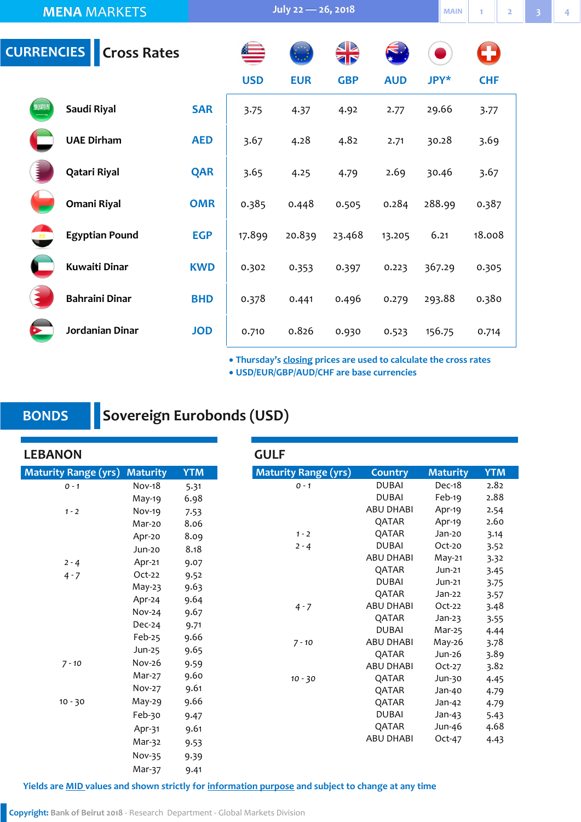<span id="page-3-0"></span>

|              | <b>MENA MARKETS</b>           |            | July 22 - 26, 2018 |            |            |            |             |            |  |  |
|--------------|-------------------------------|------------|--------------------|------------|------------|------------|-------------|------------|--|--|
|              | <b>CURRENCIES</b> Cross Rates |            |                    |            | R          |            |             | O          |  |  |
|              |                               |            | <b>USD</b>         | <b>EUR</b> | <b>GBP</b> | <b>AUD</b> | <b>JPY*</b> | <b>CHF</b> |  |  |
| <b>BIENN</b> | Saudi Riyal                   | <b>SAR</b> | 3.75               | 4.37       | 4.92       | 2.77       | 29.66       | 3.77       |  |  |
|              | <b>UAE Dirham</b>             | <b>AED</b> | 3.67               | 4.28       | 4.82       | 2.71       | 30.28       | 3.69       |  |  |
|              | Qatari Riyal                  | <b>QAR</b> | 3.65               | 4.25       | 4.79       | 2.69       | 30.46       | 3.67       |  |  |
|              | Omani Riyal                   | <b>OMR</b> | 0.385              | 0.448      | 0.505      | 0.284      | 288.99      | 0.387      |  |  |
| $\mathbf{X}$ | <b>Egyptian Pound</b>         | <b>EGP</b> | 17.899             | 20.839     | 23.468     | 13.205     | 6.21        | 18.008     |  |  |
|              | <b>Kuwaiti Dinar</b>          | <b>KWD</b> | 0.302              | 0.353      | 0.397      | 0.223      | 367.29      | 0.305      |  |  |
|              | <b>Bahraini Dinar</b>         | <b>BHD</b> | 0.378              | 0.441      | 0.496      | 0.279      | 293.88      | 0.380      |  |  |
|              | Jordanian Dinar               | <b>JOD</b> | 0.710              | 0.826      | 0.930      | 0.523      | 156.75      | 0.714      |  |  |

**Thursday's closing prices are used to calculate the cross rates**

**USD/EUR/GBP/AUD/CHF are base currencies**

### **BONDS**

### **Sovereign Eurobonds (USD)**

**LEBANON Maturity Range (yrs) Country Maturity YTM** *0 - 1* DUBAI Dec-18 2.82 DUBAI Feb-19 2.88 ABU DHABI Apr-19 2.54 QATAR Apr-19 2.60 *1 - 2* QATAR Jan-20 3.14 *2 - 4* DUBAI Oct-20 3.52 ABU DHABI May-21 3.32 QATAR Jun-21 3.45 DUBAI Jun-21 3.75 QATAR Jan-22 3.57 *4 - 7* ABU DHABI Oct-22 3.48 QATAR Jan-23 3.55 DUBAI Mar-25 4.44 *7 - 10* ABU DHABI May-26 3.78 QATAR Jun-26 3.89 ABU DHABI Oct-27 3.82 *10 - 30* QATAR Jun-30 4.45 QATAR Jan-40 4.79 QATAR Jan-42 4.79 DUBAI Jan-43 5.43 QATAR Jun-46 4.68 ABU DHABI Oct-47 4.43 **Maturity Range (yrs) Maturity YTM** *0 - 1* Nov-18 5.31 May-19 6.98 *1 - 2* Nov-19 7.53 Mar-20 8.06 Apr-20 8.09 Jun-20 8.18 *2 - 4* Apr-21 9.07 *4 - 7* Oct-22 9.52 May-23 9.63 Apr-24 9.64 Nov-24 9.67 Dec-24 9.71 Feb-25 9.66 Jun-25 9.65 *7 - 10* Nov-26 9.59 Mar-27 9.60 Nov-27 9.61 10 - 30 May-29 9.66 Feb-30 9.47 Apr-31 9.61 Mar-32 9.53 Nov-35 9.39 Mar-37 9.41 **GULF** 

**Yields are MID values and shown strictly for information purpose and subject to change at any time**